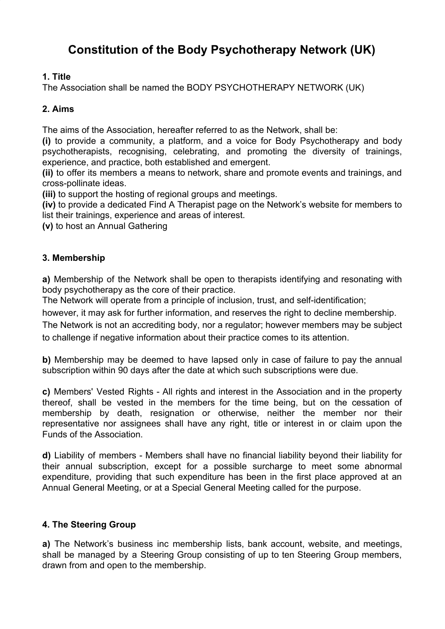# **Constitution of the Body Psychotherapy Network (UK)**

# **1. Title**

The Association shall be named the BODY PSYCHOTHERAPY NETWORK (UK)

# **2. Aims**

The aims of the Association, hereafter referred to as the Network, shall be:

**(i)** to provide a community, a platform, and a voice for Body Psychotherapy and body psychotherapists, recognising, celebrating, and promoting the diversity of trainings, experience, and practice, both established and emergent.

**(ii)** to offer its members a means to network, share and promote events and trainings, and cross-pollinate ideas.

**(iii)** to support the hosting of regional groups and meetings.

**(iv)** to provide a dedicated Find A Therapist page on the Network's website for members to list their trainings, experience and areas of interest.

**(v)** to host an Annual Gathering

## **3. Membership**

**a)** Membership of the Network shall be open to therapists identifying and resonating with body psychotherapy as the core of their practice.

The Network will operate from a principle of inclusion, trust, and self-identification;

however, it may ask for further information, and reserves the right to decline membership.

The Network is not an accrediting body, nor a regulator; however members may be subject to challenge if negative information about their practice comes to its attention.

**b)** Membership may be deemed to have lapsed only in case of failure to pay the annual subscription within 90 days after the date at which such subscriptions were due.

**c)** Members' Vested Rights - All rights and interest in the Association and in the property thereof, shall be vested in the members for the time being, but on the cessation of membership by death, resignation or otherwise, neither the member nor their representative nor assignees shall have any right, title or interest in or claim upon the Funds of the Association.

**d)** Liability of members - Members shall have no financial liability beyond their liability for their annual subscription, except for a possible surcharge to meet some abnormal expenditure, providing that such expenditure has been in the first place approved at an Annual General Meeting, or at a Special General Meeting called for the purpose.

### **4. The Steering Group**

**a)** The Network's business inc membership lists, bank account, website, and meetings, shall be managed by a Steering Group consisting of up to ten Steering Group members, drawn from and open to the membership.